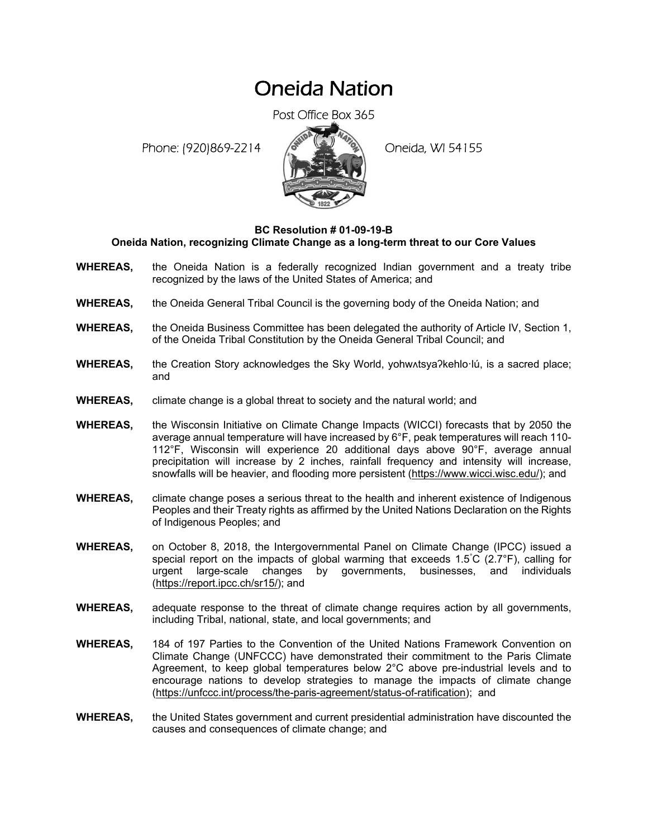# Oneida Nation

Post Office Box 365

Phone: (920)869-2214 (8 April 19) Oneida, WI 54155



## **BC Resolution # 01-09-19-B**

### **Oneida Nation, recognizing Climate Change as a long-term threat to our Core Values**

- **WHEREAS,** the Oneida Nation is a federally recognized Indian government and a treaty tribe recognized by the laws of the United States of America; and
- **WHEREAS,** the Oneida General Tribal Council is the governing body of the Oneida Nation; and
- **WHEREAS,** the Oneida Business Committee has been delegated the authority of Article IV, Section 1, of the Oneida Tribal Constitution by the Oneida General Tribal Council; and
- **WHEREAS,** the Creation Story acknowledges the Sky World, yohw $\Lambda$ tsya?kehlo·lú, is a sacred place; and
- **WHEREAS,** climate change is a global threat to society and the natural world; and
- **WHEREAS,** the Wisconsin Initiative on Climate Change Impacts (WICCI) forecasts that by 2050 the average annual temperature will have increased by 6°F, peak temperatures will reach 110- 112°F, Wisconsin will experience 20 additional days above 90°F, average annual precipitation will increase by 2 inches, rainfall frequency and intensity will increase, snowfalls will be heavier, and flooding more persistent (https://www.wicci.wisc.edu/); and
- **WHEREAS,** climate change poses a serious threat to the health and inherent existence of Indigenous Peoples and their Treaty rights as affirmed by the United Nations Declaration on the Rights of Indigenous Peoples; and
- **WHEREAS,** on October 8, 2018, the Intergovernmental Panel on Climate Change (IPCC) issued a special report on the impacts of global warming that exceeds 1.5° C (2.7°F), calling for urgent large-scale changes by governments, businesses, and individuals (https://report.ipcc.ch/sr15/); and
- **WHEREAS,** adequate response to the threat of climate change requires action by all governments, including Tribal, national, state, and local governments; and
- **WHEREAS,** 184 of 197 Parties to the Convention of the United Nations Framework Convention on Climate Change (UNFCCC) have demonstrated their commitment to the Paris Climate Agreement, to keep global temperatures below 2°C above pre-industrial levels and to encourage nations to develop strategies to manage the impacts of climate change (https://unfccc.int/process/the-paris-agreement/status-of-ratification); and
- **WHEREAS,** the United States government and current presidential administration have discounted the causes and consequences of climate change; and